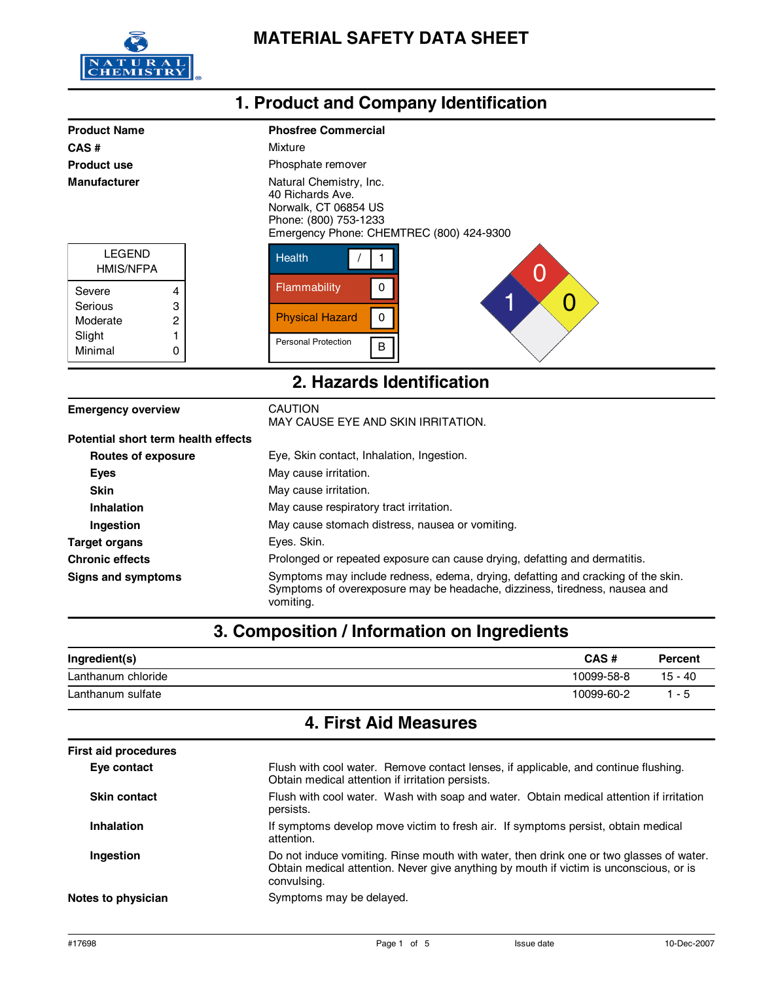

|                                                                                         |                  | 1. Product and Company Identification                                                                                                                                                                  |  |
|-----------------------------------------------------------------------------------------|------------------|--------------------------------------------------------------------------------------------------------------------------------------------------------------------------------------------------------|--|
| <b>Product Name</b><br>CAS#<br><b>Product use</b><br><b>Manufacturer</b>                |                  | <b>Phosfree Commercial</b><br>Mixture<br>Phosphate remover<br>Natural Chemistry, Inc.<br>40 Richards Ave.<br>Norwalk, CT 06854 US<br>Phone: (800) 753-1233<br>Emergency Phone: CHEMTREC (800) 424-9300 |  |
| <b>LEGEND</b><br><b>HMIS/NFPA</b><br>Severe<br>Serious<br>Moderate<br>Slight<br>Minimal | 4<br>3<br>2<br>0 | <b>Health</b><br>Flammability<br>0<br>4<br>Û<br><b>Physical Hazard</b><br>$\mathbf 0$<br><b>Personal Protection</b><br>B                                                                               |  |
| 2. Hazards Identification                                                               |                  |                                                                                                                                                                                                        |  |
| <b>Emergency overview</b>                                                               |                  | <b>CAUTION</b><br>MAY CAUSE EYE AND SKIN IRRITATION.                                                                                                                                                   |  |

| Potential short term health effects |                                                                                                                                                                             |
|-------------------------------------|-----------------------------------------------------------------------------------------------------------------------------------------------------------------------------|
| <b>Routes of exposure</b>           | Eye, Skin contact, Inhalation, Ingestion.                                                                                                                                   |
| <b>Eves</b>                         | May cause irritation.                                                                                                                                                       |
| <b>Skin</b>                         | May cause irritation.                                                                                                                                                       |
| Inhalation                          | May cause respiratory tract irritation.                                                                                                                                     |
| <b>Ingestion</b>                    | May cause stomach distress, nausea or vomiting.                                                                                                                             |
| <b>Target organs</b>                | Eyes. Skin.                                                                                                                                                                 |
| <b>Chronic effects</b>              | Prolonged or repeated exposure can cause drying, defatting and dermatitis.                                                                                                  |
| Signs and symptoms                  | Symptoms may include redness, edema, drying, defatting and cracking of the skin.<br>Symptoms of overexposure may be headache, dizziness, tiredness, nausea and<br>vomiting. |

# **3. Composition / Information on Ingredients**

| Ingredient(s)      | CAS#       | Percent   |
|--------------------|------------|-----------|
| Lanthanum chloride | 10099-58-8 | $15 - 40$ |
| Lanthanum sulfate  | 10099-60-2 | - 5       |

## **4. First Aid Measures**

| <b>First aid procedures</b> |                                                                                                                                                                                                  |
|-----------------------------|--------------------------------------------------------------------------------------------------------------------------------------------------------------------------------------------------|
| Eye contact                 | Flush with cool water. Remove contact lenses, if applicable, and continue flushing.<br>Obtain medical attention if irritation persists.                                                          |
| <b>Skin contact</b>         | Flush with cool water. Wash with soap and water. Obtain medical attention if irritation<br>persists.                                                                                             |
| <b>Inhalation</b>           | If symptoms develop move victim to fresh air. If symptoms persist, obtain medical<br>attention.                                                                                                  |
| Ingestion                   | Do not induce vomiting. Rinse mouth with water, then drink one or two glasses of water.<br>Obtain medical attention. Never give anything by mouth if victim is unconscious, or is<br>convulsing. |
| Notes to physician          | Symptoms may be delayed.                                                                                                                                                                         |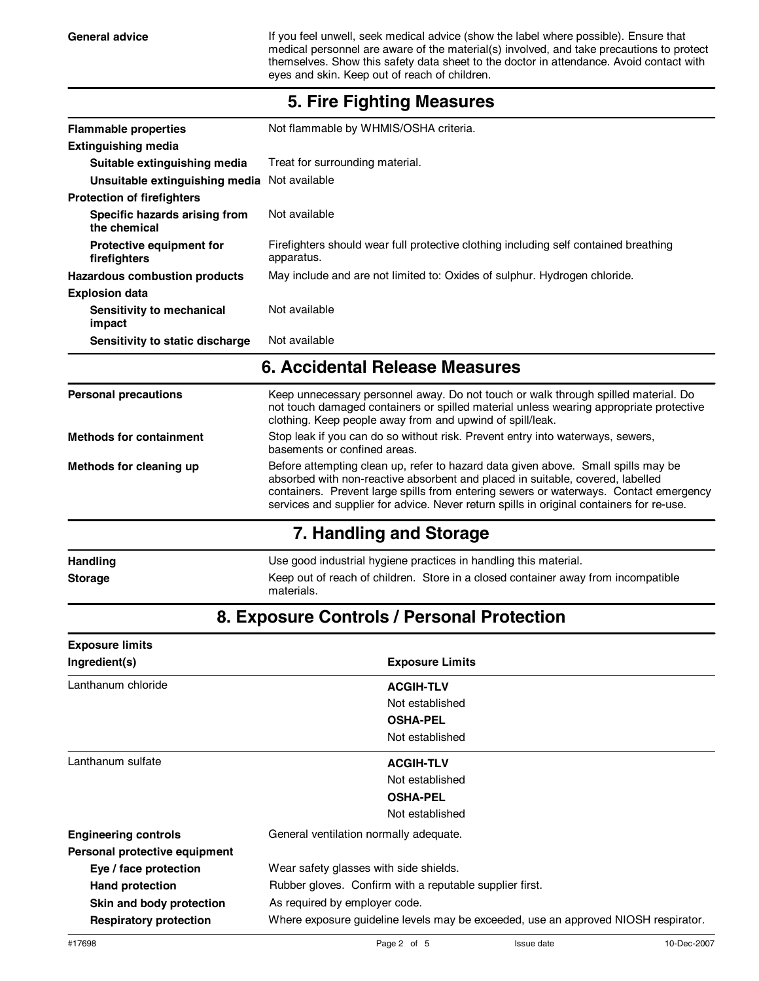General advice **If you feel unwell, seek medical advice (show the label where possible). Ensure that** medical personnel are aware of the material(s) involved, and take precautions to protect themselves. Show this safety data sheet to the doctor in attendance. Avoid contact with eyes and skin. Keep out of reach of children.

| <b>Flammable properties</b>                     | Not flammable by WHMIS/OSHA criteria.                                                                                                                                                                                                                                                                                                                    |  |  |
|-------------------------------------------------|----------------------------------------------------------------------------------------------------------------------------------------------------------------------------------------------------------------------------------------------------------------------------------------------------------------------------------------------------------|--|--|
| <b>Extinguishing media</b>                      |                                                                                                                                                                                                                                                                                                                                                          |  |  |
| Suitable extinguishing media                    | Treat for surrounding material.                                                                                                                                                                                                                                                                                                                          |  |  |
| Unsuitable extinguishing media Not available    |                                                                                                                                                                                                                                                                                                                                                          |  |  |
| <b>Protection of firefighters</b>               |                                                                                                                                                                                                                                                                                                                                                          |  |  |
| Specific hazards arising from<br>the chemical   | Not available                                                                                                                                                                                                                                                                                                                                            |  |  |
| <b>Protective equipment for</b><br>firefighters | Firefighters should wear full protective clothing including self contained breathing<br>apparatus.                                                                                                                                                                                                                                                       |  |  |
| <b>Hazardous combustion products</b>            | May include and are not limited to: Oxides of sulphur. Hydrogen chloride.                                                                                                                                                                                                                                                                                |  |  |
| <b>Explosion data</b>                           |                                                                                                                                                                                                                                                                                                                                                          |  |  |
| Sensitivity to mechanical<br>impact             | Not available                                                                                                                                                                                                                                                                                                                                            |  |  |
| Sensitivity to static discharge                 | Not available                                                                                                                                                                                                                                                                                                                                            |  |  |
|                                                 | 6. Accidental Release Measures                                                                                                                                                                                                                                                                                                                           |  |  |
| <b>Personal precautions</b>                     | Keep unnecessary personnel away. Do not touch or walk through spilled material. Do<br>not touch damaged containers or spilled material unless wearing appropriate protective<br>clothing. Keep people away from and upwind of spill/leak.                                                                                                                |  |  |
| <b>Methods for containment</b>                  | Stop leak if you can do so without risk. Prevent entry into waterways, sewers,<br>basements or confined areas.                                                                                                                                                                                                                                           |  |  |
| Methods for cleaning up                         | Before attempting clean up, refer to hazard data given above. Small spills may be<br>absorbed with non-reactive absorbent and placed in suitable, covered, labelled<br>containers. Prevent large spills from entering sewers or waterways. Contact emergency<br>services and supplier for advice. Never return spills in original containers for re-use. |  |  |
|                                                 | 7. Handling and Storage                                                                                                                                                                                                                                                                                                                                  |  |  |
|                                                 |                                                                                                                                                                                                                                                                                                                                                          |  |  |
| Handling                                        | Use good industrial hygiene practices in handling this material.                                                                                                                                                                                                                                                                                         |  |  |

#### **5. Fire Fighting Measures**

# **8. Exposure Controls / Personal Protection**

| <b>Exposure limits</b>        |                                                                                    |  |
|-------------------------------|------------------------------------------------------------------------------------|--|
| Ingredient(s)                 | <b>Exposure Limits</b>                                                             |  |
| Lanthanum chloride            | <b>ACGIH-TLV</b>                                                                   |  |
|                               | Not established                                                                    |  |
|                               | <b>OSHA-PEL</b>                                                                    |  |
|                               | Not established                                                                    |  |
| Lanthanum sulfate             | <b>ACGIH-TLV</b>                                                                   |  |
|                               | Not established                                                                    |  |
|                               | <b>OSHA-PEL</b>                                                                    |  |
|                               | Not established                                                                    |  |
| <b>Engineering controls</b>   | General ventilation normally adequate.                                             |  |
| Personal protective equipment |                                                                                    |  |
| Eye / face protection         | Wear safety glasses with side shields.                                             |  |
| <b>Hand protection</b>        | Rubber gloves. Confirm with a reputable supplier first.                            |  |
| Skin and body protection      | As required by employer code.                                                      |  |
| <b>Respiratory protection</b> | Where exposure guideline levels may be exceeded, use an approved NIOSH respirator. |  |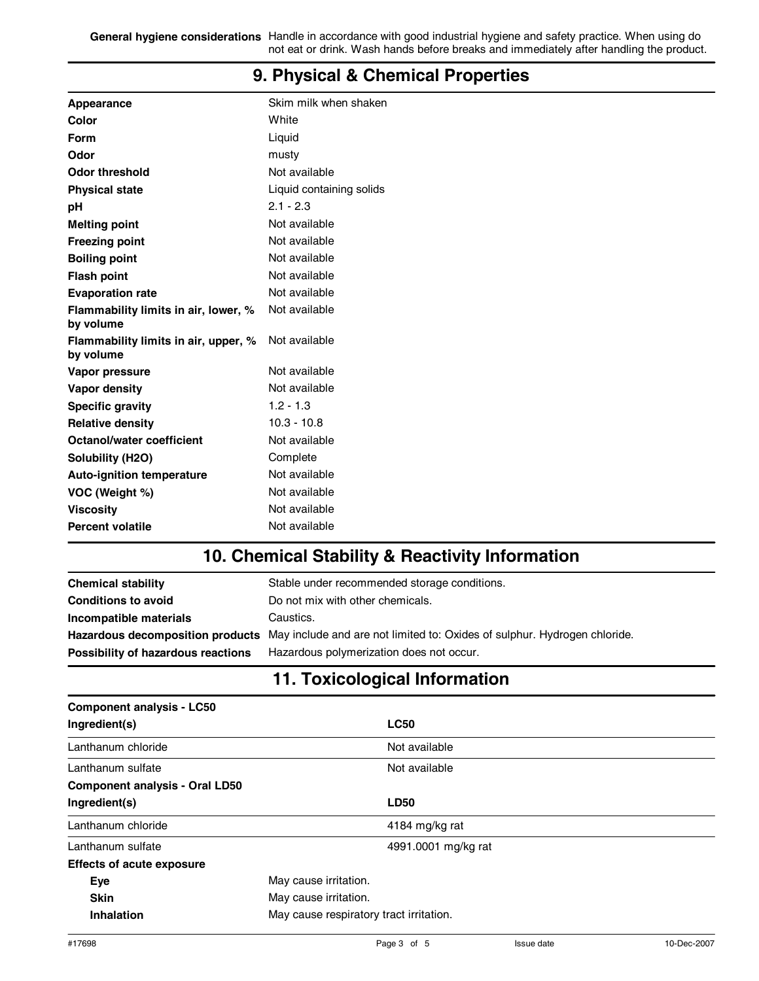**General hygiene considerations** Handle in accordance with good industrial hygiene and safety practice. When using do not eat or drink. Wash hands before breaks and immediately after handling the product.

| Appearance                                        | Skim milk when shaken    |
|---------------------------------------------------|--------------------------|
| Color                                             | White                    |
| Form                                              | Liquid                   |
| Odor                                              | musty                    |
| <b>Odor threshold</b>                             | Not available            |
| <b>Physical state</b>                             | Liquid containing solids |
| pH                                                | $2.1 - 2.3$              |
| <b>Melting point</b>                              | Not available            |
| <b>Freezing point</b>                             | Not available            |
| <b>Boiling point</b>                              | Not available            |
| <b>Flash point</b>                                | Not available            |
| <b>Evaporation rate</b>                           | Not available            |
| Flammability limits in air, lower, %<br>by volume | Not available            |
| Flammability limits in air, upper, %<br>by volume | Not available            |
| Vapor pressure                                    | Not available            |
| Vapor density                                     | Not available            |
| <b>Specific gravity</b>                           | $1.2 - 1.3$              |
| <b>Relative density</b>                           | $10.3 - 10.8$            |
| <b>Octanol/water coefficient</b>                  | Not available            |
| Solubility (H2O)                                  | Complete                 |
| <b>Auto-ignition temperature</b>                  | Not available            |
| VOC (Weight %)                                    | Not available            |
| <b>Viscosity</b>                                  | Not available            |
| <b>Percent volatile</b>                           | Not available            |
|                                                   |                          |

#### **9. Physical & Chemical Properties**

### **10. Chemical Stability & Reactivity Information**

| <b>Chemical stability</b>          | Stable under recommended storage conditions.                                                               |
|------------------------------------|------------------------------------------------------------------------------------------------------------|
| <b>Conditions to avoid</b>         | Do not mix with other chemicals.                                                                           |
| Incompatible materials             | Caustics.                                                                                                  |
|                                    | Hazardous decomposition products May include and are not limited to: Oxides of sulphur. Hydrogen chloride. |
| Possibility of hazardous reactions | Hazardous polymerization does not occur.                                                                   |

# **11. Toxicological Information**

| <b>Component analysis - LC50</b>      |                                         |                     |
|---------------------------------------|-----------------------------------------|---------------------|
| Ingredient(s)                         |                                         | <b>LC50</b>         |
| Lanthanum chloride                    |                                         | Not available       |
| Lanthanum sulfate                     |                                         | Not available       |
| <b>Component analysis - Oral LD50</b> |                                         |                     |
| Ingredient(s)                         |                                         | <b>LD50</b>         |
| Lanthanum chloride                    |                                         | 4184 mg/kg rat      |
| Lanthanum sulfate                     |                                         | 4991.0001 mg/kg rat |
| <b>Effects of acute exposure</b>      |                                         |                     |
| Eye                                   | May cause irritation.                   |                     |
| <b>Skin</b>                           | May cause irritation.                   |                     |
| Inhalation                            | May cause respiratory tract irritation. |                     |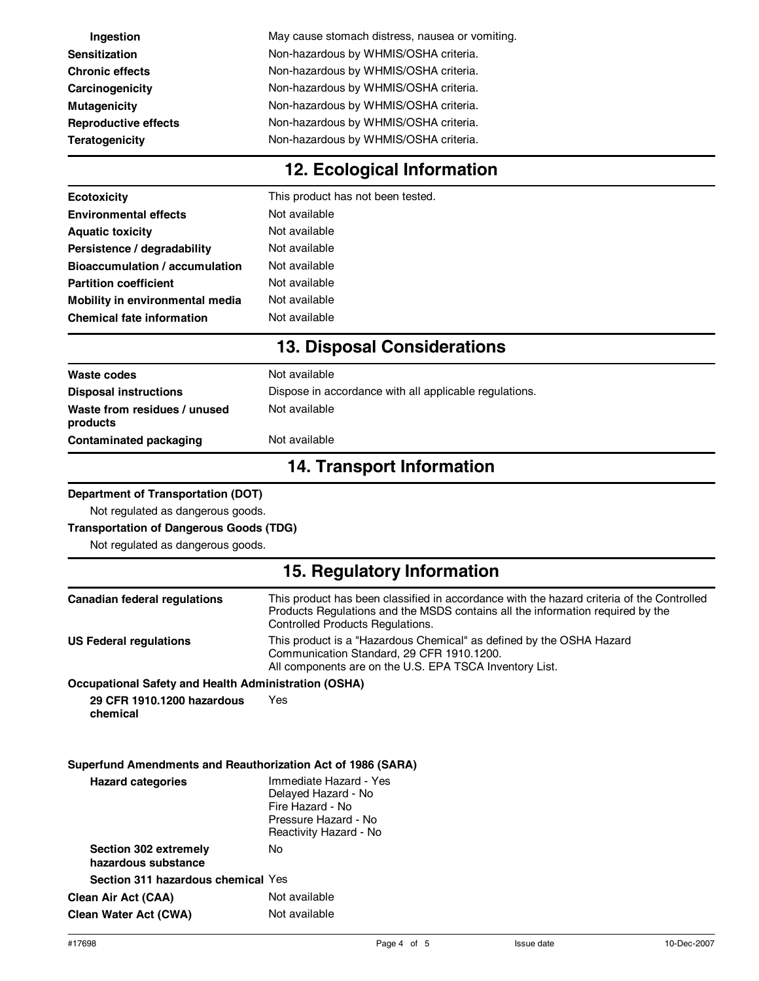| Ingestion                                                   | May cause stomach distress, nausea or vomiting.                                                                                                                                                                        |  |  |  |  |
|-------------------------------------------------------------|------------------------------------------------------------------------------------------------------------------------------------------------------------------------------------------------------------------------|--|--|--|--|
| <b>Sensitization</b>                                        | Non-hazardous by WHMIS/OSHA criteria.<br>Non-hazardous by WHMIS/OSHA criteria.                                                                                                                                         |  |  |  |  |
| <b>Chronic effects</b>                                      | Non-hazardous by WHMIS/OSHA criteria.<br>Non-hazardous by WHMIS/OSHA criteria.                                                                                                                                         |  |  |  |  |
| Carcinogenicity                                             |                                                                                                                                                                                                                        |  |  |  |  |
| <b>Mutagenicity</b>                                         |                                                                                                                                                                                                                        |  |  |  |  |
| <b>Reproductive effects</b>                                 | Non-hazardous by WHMIS/OSHA criteria.                                                                                                                                                                                  |  |  |  |  |
| <b>Teratogenicity</b>                                       | Non-hazardous by WHMIS/OSHA criteria.                                                                                                                                                                                  |  |  |  |  |
|                                                             | 12. Ecological Information                                                                                                                                                                                             |  |  |  |  |
| <b>Ecotoxicity</b>                                          | This product has not been tested.                                                                                                                                                                                      |  |  |  |  |
| <b>Environmental effects</b>                                | Not available                                                                                                                                                                                                          |  |  |  |  |
| <b>Aquatic toxicity</b>                                     | Not available                                                                                                                                                                                                          |  |  |  |  |
| Persistence / degradability                                 | Not available                                                                                                                                                                                                          |  |  |  |  |
| <b>Bioaccumulation / accumulation</b>                       | Not available                                                                                                                                                                                                          |  |  |  |  |
| <b>Partition coefficient</b>                                | Not available                                                                                                                                                                                                          |  |  |  |  |
| Mobility in environmental media                             | Not available                                                                                                                                                                                                          |  |  |  |  |
| <b>Chemical fate information</b>                            | Not available                                                                                                                                                                                                          |  |  |  |  |
|                                                             | <b>13. Disposal Considerations</b>                                                                                                                                                                                     |  |  |  |  |
| <b>Waste codes</b>                                          | Not available                                                                                                                                                                                                          |  |  |  |  |
| <b>Disposal instructions</b>                                | Dispose in accordance with all applicable regulations.                                                                                                                                                                 |  |  |  |  |
| Waste from residues / unused<br>products                    | Not available                                                                                                                                                                                                          |  |  |  |  |
| <b>Contaminated packaging</b>                               | Not available                                                                                                                                                                                                          |  |  |  |  |
|                                                             | <b>14. Transport Information</b>                                                                                                                                                                                       |  |  |  |  |
| <b>Department of Transportation (DOT)</b>                   |                                                                                                                                                                                                                        |  |  |  |  |
| Not regulated as dangerous goods.                           |                                                                                                                                                                                                                        |  |  |  |  |
| <b>Transportation of Dangerous Goods (TDG)</b>              |                                                                                                                                                                                                                        |  |  |  |  |
| Not regulated as dangerous goods.                           |                                                                                                                                                                                                                        |  |  |  |  |
|                                                             | 15. Regulatory Information                                                                                                                                                                                             |  |  |  |  |
| <b>Canadian federal regulations</b>                         | This product has been classified in accordance with the hazard criteria of the Controlled<br>Products Regulations and the MSDS contains all the information required by the<br><b>Controlled Products Regulations.</b> |  |  |  |  |
| <b>US Federal regulations</b>                               | This product is a "Hazardous Chemical" as defined by the OSHA Hazard<br>Communication Standard, 29 CFR 1910.1200.<br>All components are on the U.S. EPA TSCA Inventory List.                                           |  |  |  |  |
| <b>Occupational Safety and Health Administration (OSHA)</b> |                                                                                                                                                                                                                        |  |  |  |  |
| 29 CFR 1910.1200 hazardous<br>chemical                      | Yes                                                                                                                                                                                                                    |  |  |  |  |
| Superfund Amendments and Reauthorization Act of 1986 (SARA) |                                                                                                                                                                                                                        |  |  |  |  |
| <b>Hazard categories</b>                                    | Immediate Hazard - Yes<br>Delayed Hazard - No<br>Fire Hazard - No<br>Pressure Hazard - No<br>Reactivity Hazard - No                                                                                                    |  |  |  |  |
| Section 302 extremely<br>hazardous substance                | No                                                                                                                                                                                                                     |  |  |  |  |
| Section 311 hazardous chemical Yes                          |                                                                                                                                                                                                                        |  |  |  |  |
| <b>Clean Air Act (CAA)</b>                                  | Not available                                                                                                                                                                                                          |  |  |  |  |
| <b>Clean Water Act (CWA)</b>                                | Not available                                                                                                                                                                                                          |  |  |  |  |